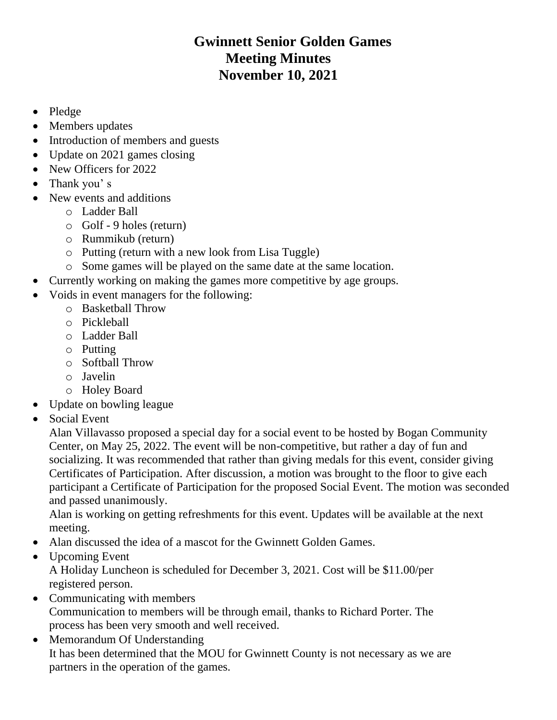## **Gwinnett Senior Golden Games Meeting Minutes November 10, 2021**

- Pledge
- Members updates
- Introduction of members and guests
- Update on 2021 games closing
- New Officers for 2022
- Thank you's
- New events and additions
	- o Ladder Ball
	- o Golf 9 holes (return)
	- o Rummikub (return)
	- o Putting (return with a new look from Lisa Tuggle)
	- o Some games will be played on the same date at the same location.
- Currently working on making the games more competitive by age groups.
- Voids in event managers for the following:
	- o Basketball Throw
	- o Pickleball
	- o Ladder Ball
	- o Putting
	- o Softball Throw
	- o Javelin
	- o Holey Board
- Update on bowling league
- Social Event

Alan Villavasso proposed a special day for a social event to be hosted by Bogan Community Center, on May 25, 2022. The event will be non-competitive, but rather a day of fun and socializing. It was recommended that rather than giving medals for this event, consider giving Certificates of Participation. After discussion, a motion was brought to the floor to give each participant a Certificate of Participation for the proposed Social Event. The motion was seconded and passed unanimously.

Alan is working on getting refreshments for this event. Updates will be available at the next meeting.

- Alan discussed the idea of a mascot for the Gwinnett Golden Games.
- Upcoming Event

A Holiday Luncheon is scheduled for December 3, 2021. Cost will be \$11.00/per registered person.

- Communicating with members Communication to members will be through email, thanks to Richard Porter. The process has been very smooth and well received.
- Memorandum Of Understanding It has been determined that the MOU for Gwinnett County is not necessary as we are partners in the operation of the games.